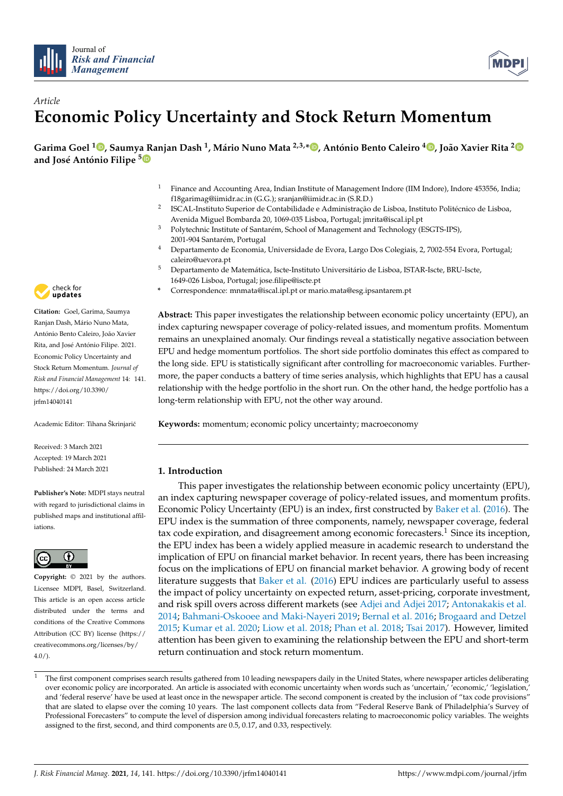



# *Article* **Economic Policy Uncertainty and Stock Return Momentum**

Garima Goel <sup>1</sup>D, Saumya Ranjan Dash <sup>1</sup>, Mário Nuno Mata <sup>2,3,</sup>\*D, António Bento Caleiro <sup>4</sup>D, João Xavier Rita <sup>2</sup> **and José António Filipe <sup>5</sup>**

- <sup>1</sup> Finance and Accounting Area, Indian Institute of Management Indore (IIM Indore), Indore 453556, India; f18garimag@iimidr.ac.in (G.G.); sranjan@iimidr.ac.in (S.R.D.)
- 2 ISCAL-Instituto Superior de Contabilidade e Administração de Lisboa, Instituto Politécnico de Lisboa, Avenida Miguel Bombarda 20, 1069-035 Lisboa, Portugal; jmrita@iscal.ipl.pt
- <sup>3</sup> Polytechnic Institute of Santarém, School of Management and Technology (ESGTS-IPS), 2001-904 Santarém, Portugal
- <sup>4</sup> Departamento de Economia, Universidade de Evora, Largo Dos Colegiais, 2, 7002-554 Evora, Portugal; caleiro@uevora.pt
- <sup>5</sup> Departamento de Matemática, Iscte-Instituto Universitário de Lisboa, ISTAR-Iscte, BRU-Iscte, 1649-026 Lisboa, Portugal; jose.filipe@iscte.pt
- **\*** Correspondence: mnmata@iscal.ipl.pt or mario.mata@esg.ipsantarem.pt

**Abstract:** This paper investigates the relationship between economic policy uncertainty (EPU), an index capturing newspaper coverage of policy-related issues, and momentum profits. Momentum remains an unexplained anomaly. Our findings reveal a statistically negative association between EPU and hedge momentum portfolios. The short side portfolio dominates this effect as compared to the long side. EPU is statistically significant after controlling for macroeconomic variables. Furthermore, the paper conducts a battery of time series analysis, which highlights that EPU has a causal relationship with the hedge portfolio in the short run. On the other hand, the hedge portfolio has a long-term relationship with EPU, not the other way around.

**Keywords:** momentum; economic policy uncertainty; macroeconomy

## **1. Introduction**

This paper investigates the relationship between economic policy uncertainty (EPU), an index capturing newspaper coverage of policy-related issues, and momentum profits. Economic Policy Uncertainty (EPU) is an index, first constructed by Baker et al. (2016). The EPU index is the summation of three components, namely, newspaper coverage, federal tax code expiration, and disagreement among economic forecasters.<sup>1</sup> Since its inception, the EPU index has been a widely applied measure in academic research to understand the implication of EPU on financial market behavior. In recent years, there has been increasing focus on the implications of EPU on financial market behavior. A growing body of recent literature suggests that Baker et al. (2016) EPU indices are particularly useful to assess the impact of policy uncertainty on expected return, asset-pricing, corporate investment, and risk spill overs across different markets (see Adjei and Adjei 2017; Antonakakis et al. 2014; Bahmani-Oskooee and Maki-Nayeri 2019; Bernal et al. 2016; Brogaard and Detzel 2015; Kumar et al. 2020; Liow et al. 2018; Phan et al. 2018; Tsai 2017). However, limited attention has been given to examining the relationship between the EPU and short-term return continuation and stock return momentum.



**Citation:** Goel, Garima, Saumya Ranjan Dash, Mário Nuno Mata, António Bento Caleiro, João Xavier Rita, and José António Filipe. 2021. Economic Policy Uncertainty and Stock Return Momentum. *Journal of Risk and Financial Management* 14: 141. https://doi.org/10.3390/ jrfm14040141

Academic Editor: Tihana Škrinjarić

Received: 3 March 2021 Accepted: 19 March 2021 Published: 24 March 2021

**Publisher's Note:** MDPI stays neutral with regard to jurisdictional claims in published maps and institutional affiliations.



**Copyright:** © 2021 by the authors. Licensee MDPI, Basel, Switzerland. This article is an open access article distributed under the terms and conditions of the Creative Commons Attribution (CC BY) license (https:// creativecommons.org/licenses/by/  $4.0/$ ).

<sup>1</sup> The first component comprises search results gathered from 10 leading newspapers daily in the United States, where newspaper articles deliberating over economic policy are incorporated. An article is associated with economic uncertainty when words such as 'uncertain,' 'economic,' 'legislation,' and 'federal reserve' have be used at least once in the newspaper article. The second component is created by the inclusion of "tax code provisions" that are slated to elapse over the coming 10 years. The last component collects data from "Federal Reserve Bank of Philadelphia's Survey of Professional Forecasters" to compute the level of dispersion among individual forecasters relating to macroeconomic policy variables. The weights assigned to the first, second, and third components are 0.5, 0.17, and 0.33, respectively.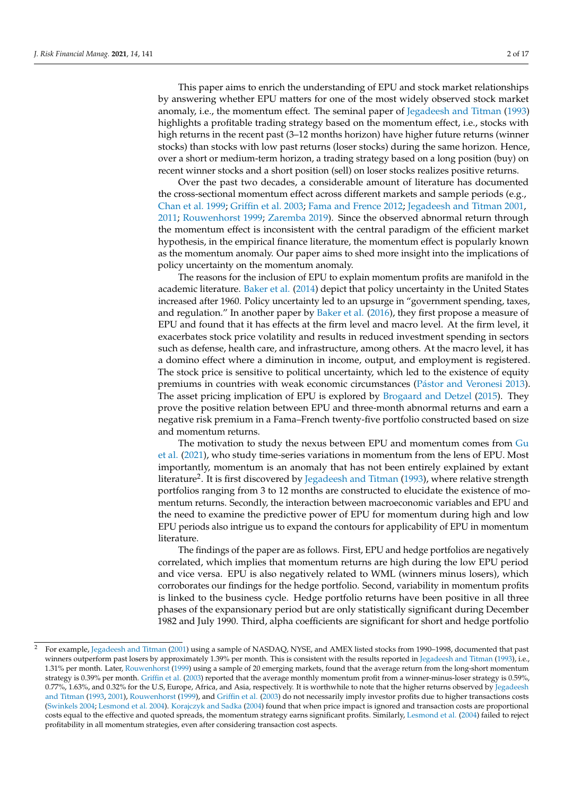This paper aims to enrich the understanding of EPU and stock market relationships by answering whether EPU matters for one of the most widely observed stock market anomaly, i.e., the momentum effect. The seminal paper of Jegadeesh and Titman (1993) highlights a profitable trading strategy based on the momentum effect, i.e., stocks with high returns in the recent past (3–12 months horizon) have higher future returns (winner stocks) than stocks with low past returns (loser stocks) during the same horizon. Hence, over a short or medium-term horizon, a trading strategy based on a long position (buy) on recent winner stocks and a short position (sell) on loser stocks realizes positive returns.

Over the past two decades, a considerable amount of literature has documented the cross-sectional momentum effect across different markets and sample periods (e.g., Chan et al. 1999; Griffin et al. 2003; Fama and Frence 2012; Jegadeesh and Titman 2001, 2011; Rouwenhorst 1999; Zaremba 2019). Since the observed abnormal return through the momentum effect is inconsistent with the central paradigm of the efficient market hypothesis, in the empirical finance literature, the momentum effect is popularly known as the momentum anomaly. Our paper aims to shed more insight into the implications of policy uncertainty on the momentum anomaly.

The reasons for the inclusion of EPU to explain momentum profits are manifold in the academic literature. Baker et al. (2014) depict that policy uncertainty in the United States increased after 1960. Policy uncertainty led to an upsurge in "government spending, taxes, and regulation." In another paper by Baker et al. (2016), they first propose a measure of EPU and found that it has effects at the firm level and macro level. At the firm level, it exacerbates stock price volatility and results in reduced investment spending in sectors such as defense, health care, and infrastructure, among others. At the macro level, it has a domino effect where a diminution in income, output, and employment is registered. The stock price is sensitive to political uncertainty, which led to the existence of equity premiums in countries with weak economic circumstances (Pástor and Veronesi 2013). The asset pricing implication of EPU is explored by Brogaard and Detzel (2015). They prove the positive relation between EPU and three-month abnormal returns and earn a negative risk premium in a Fama–French twenty-five portfolio constructed based on size and momentum returns.

The motivation to study the nexus between EPU and momentum comes from Gu et al. (2021), who study time-series variations in momentum from the lens of EPU. Most importantly, momentum is an anomaly that has not been entirely explained by extant literature<sup>2</sup>. It is first discovered by Jegadeesh and Titman (1993), where relative strength portfolios ranging from 3 to 12 months are constructed to elucidate the existence of momentum returns. Secondly, the interaction between macroeconomic variables and EPU and the need to examine the predictive power of EPU for momentum during high and low EPU periods also intrigue us to expand the contours for applicability of EPU in momentum literature.

The findings of the paper are as follows. First, EPU and hedge portfolios are negatively correlated, which implies that momentum returns are high during the low EPU period and vice versa. EPU is also negatively related to WML (winners minus losers), which corroborates our findings for the hedge portfolio. Second, variability in momentum profits is linked to the business cycle. Hedge portfolio returns have been positive in all three phases of the expansionary period but are only statistically significant during December 1982 and July 1990. Third, alpha coefficients are significant for short and hedge portfolio

<sup>2</sup> For example, Jegadeesh and Titman (2001) using a sample of NASDAQ, NYSE, and AMEX listed stocks from 1990–1998, documented that past winners outperform past losers by approximately 1.39% per month. This is consistent with the results reported in Jegadeesh and Titman (1993), i.e., 1.31% per month. Later, Rouwenhorst (1999) using a sample of 20 emerging markets, found that the average return from the long-short momentum strategy is 0.39% per month. Griffin et al. (2003) reported that the average monthly momentum profit from a winner-minus-loser strategy is 0.59%, 0.77%, 1.63%, and 0.32% for the U.S, Europe, Africa, and Asia, respectively. It is worthwhile to note that the higher returns observed by Jegadeesh and Titman (1993, 2001), Rouwenhorst (1999), and Griffin et al. (2003) do not necessarily imply investor profits due to higher transactions costs (Swinkels 2004; Lesmond et al. 2004). Korajczyk and Sadka (2004) found that when price impact is ignored and transaction costs are proportional costs equal to the effective and quoted spreads, the momentum strategy earns significant profits. Similarly, Lesmond et al. (2004) failed to reject profitability in all momentum strategies, even after considering transaction cost aspects.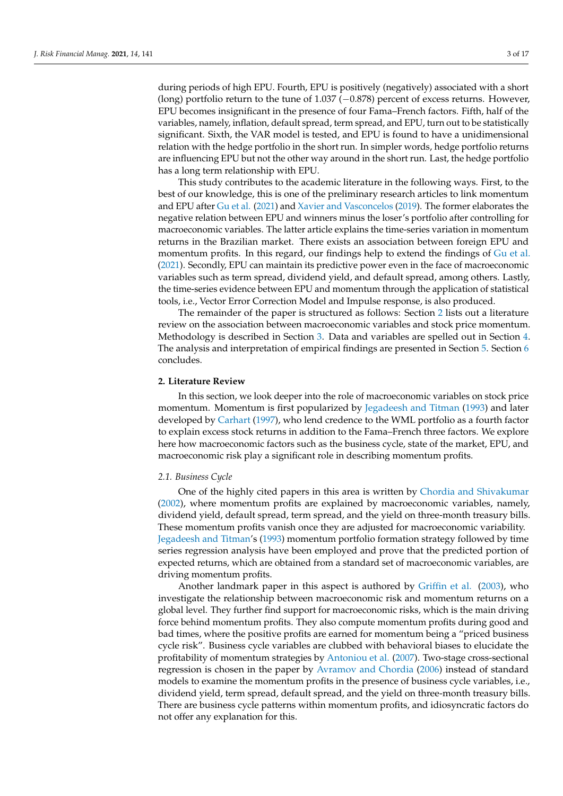during periods of high EPU. Fourth, EPU is positively (negatively) associated with a short (long) portfolio return to the tune of 1.037 (−0.878) percent of excess returns. However, EPU becomes insignificant in the presence of four Fama–French factors. Fifth, half of the variables, namely, inflation, default spread, term spread, and EPU, turn out to be statistically significant. Sixth, the VAR model is tested, and EPU is found to have a unidimensional relation with the hedge portfolio in the short run. In simpler words, hedge portfolio returns are influencing EPU but not the other way around in the short run. Last, the hedge portfolio has a long term relationship with EPU.

This study contributes to the academic literature in the following ways. First, to the best of our knowledge, this is one of the preliminary research articles to link momentum and EPU after Gu et al. (2021) and Xavier and Vasconcelos (2019). The former elaborates the negative relation between EPU and winners minus the loser's portfolio after controlling for macroeconomic variables. The latter article explains the time-series variation in momentum returns in the Brazilian market. There exists an association between foreign EPU and momentum profits. In this regard, our findings help to extend the findings of Gu et al. (2021). Secondly, EPU can maintain its predictive power even in the face of macroeconomic variables such as term spread, dividend yield, and default spread, among others. Lastly, the time-series evidence between EPU and momentum through the application of statistical tools, i.e., Vector Error Correction Model and Impulse response, is also produced.

The remainder of the paper is structured as follows: Section 2 lists out a literature review on the association between macroeconomic variables and stock price momentum. Methodology is described in Section 3. Data and variables are spelled out in Section 4. The analysis and interpretation of empirical findings are presented in Section 5. Section 6 concludes.

## **2. Literature Review**

In this section, we look deeper into the role of macroeconomic variables on stock price momentum. Momentum is first popularized by Jegadeesh and Titman (1993) and later developed by Carhart (1997), who lend credence to the WML portfolio as a fourth factor to explain excess stock returns in addition to the Fama–French three factors. We explore here how macroeconomic factors such as the business cycle, state of the market, EPU, and macroeconomic risk play a significant role in describing momentum profits.

#### *2.1. Business Cycle*

One of the highly cited papers in this area is written by Chordia and Shivakumar (2002), where momentum profits are explained by macroeconomic variables, namely, dividend yield, default spread, term spread, and the yield on three-month treasury bills. These momentum profits vanish once they are adjusted for macroeconomic variability. Jegadeesh and Titman's (1993) momentum portfolio formation strategy followed by time series regression analysis have been employed and prove that the predicted portion of expected returns, which are obtained from a standard set of macroeconomic variables, are driving momentum profits.

Another landmark paper in this aspect is authored by Griffin et al. (2003), who investigate the relationship between macroeconomic risk and momentum returns on a global level. They further find support for macroeconomic risks, which is the main driving force behind momentum profits. They also compute momentum profits during good and bad times, where the positive profits are earned for momentum being a "priced business cycle risk". Business cycle variables are clubbed with behavioral biases to elucidate the profitability of momentum strategies by Antoniou et al. (2007). Two-stage cross-sectional regression is chosen in the paper by Avramov and Chordia (2006) instead of standard models to examine the momentum profits in the presence of business cycle variables, i.e., dividend yield, term spread, default spread, and the yield on three-month treasury bills. There are business cycle patterns within momentum profits, and idiosyncratic factors do not offer any explanation for this.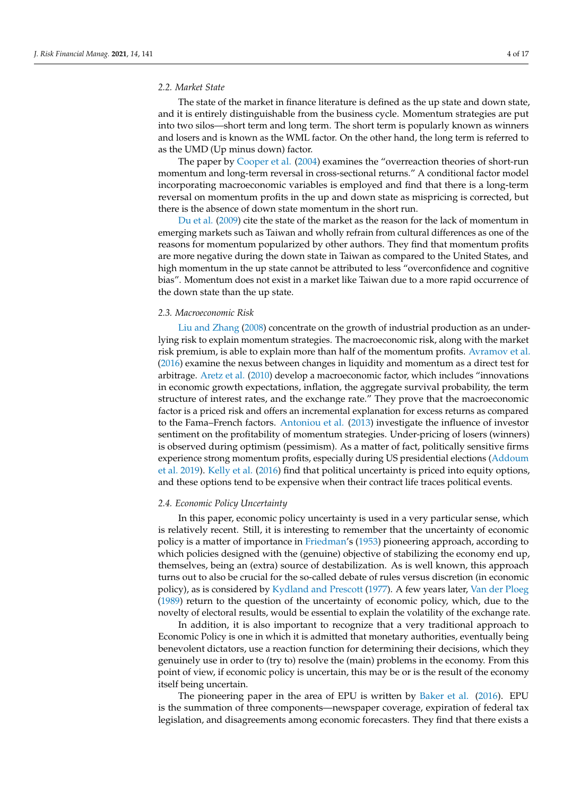## *2.2. Market State*

The state of the market in finance literature is defined as the up state and down state, and it is entirely distinguishable from the business cycle. Momentum strategies are put into two silos—short term and long term. The short term is popularly known as winners and losers and is known as the WML factor. On the other hand, the long term is referred to as the UMD (Up minus down) factor.

The paper by Cooper et al. (2004) examines the "overreaction theories of short-run momentum and long-term reversal in cross-sectional returns." A conditional factor model incorporating macroeconomic variables is employed and find that there is a long-term reversal on momentum profits in the up and down state as mispricing is corrected, but there is the absence of down state momentum in the short run.

Du et al. (2009) cite the state of the market as the reason for the lack of momentum in emerging markets such as Taiwan and wholly refrain from cultural differences as one of the reasons for momentum popularized by other authors. They find that momentum profits are more negative during the down state in Taiwan as compared to the United States, and high momentum in the up state cannot be attributed to less "overconfidence and cognitive bias". Momentum does not exist in a market like Taiwan due to a more rapid occurrence of the down state than the up state.

#### *2.3. Macroeconomic Risk*

Liu and Zhang (2008) concentrate on the growth of industrial production as an underlying risk to explain momentum strategies. The macroeconomic risk, along with the market risk premium, is able to explain more than half of the momentum profits. Avramov et al. (2016) examine the nexus between changes in liquidity and momentum as a direct test for arbitrage. Aretz et al. (2010) develop a macroeconomic factor, which includes "innovations in economic growth expectations, inflation, the aggregate survival probability, the term structure of interest rates, and the exchange rate." They prove that the macroeconomic factor is a priced risk and offers an incremental explanation for excess returns as compared to the Fama–French factors. Antoniou et al. (2013) investigate the influence of investor sentiment on the profitability of momentum strategies. Under-pricing of losers (winners) is observed during optimism (pessimism). As a matter of fact, politically sensitive firms experience strong momentum profits, especially during US presidential elections (Addoum et al. 2019). Kelly et al. (2016) find that political uncertainty is priced into equity options, and these options tend to be expensive when their contract life traces political events.

## *2.4. Economic Policy Uncertainty*

In this paper, economic policy uncertainty is used in a very particular sense, which is relatively recent. Still, it is interesting to remember that the uncertainty of economic policy is a matter of importance in Friedman's (1953) pioneering approach, according to which policies designed with the (genuine) objective of stabilizing the economy end up, themselves, being an (extra) source of destabilization. As is well known, this approach turns out to also be crucial for the so-called debate of rules versus discretion (in economic policy), as is considered by Kydland and Prescott (1977). A few years later, Van der Ploeg (1989) return to the question of the uncertainty of economic policy, which, due to the novelty of electoral results, would be essential to explain the volatility of the exchange rate.

In addition, it is also important to recognize that a very traditional approach to Economic Policy is one in which it is admitted that monetary authorities, eventually being benevolent dictators, use a reaction function for determining their decisions, which they genuinely use in order to (try to) resolve the (main) problems in the economy. From this point of view, if economic policy is uncertain, this may be or is the result of the economy itself being uncertain.

The pioneering paper in the area of EPU is written by Baker et al. (2016). EPU is the summation of three components—newspaper coverage, expiration of federal tax legislation, and disagreements among economic forecasters. They find that there exists a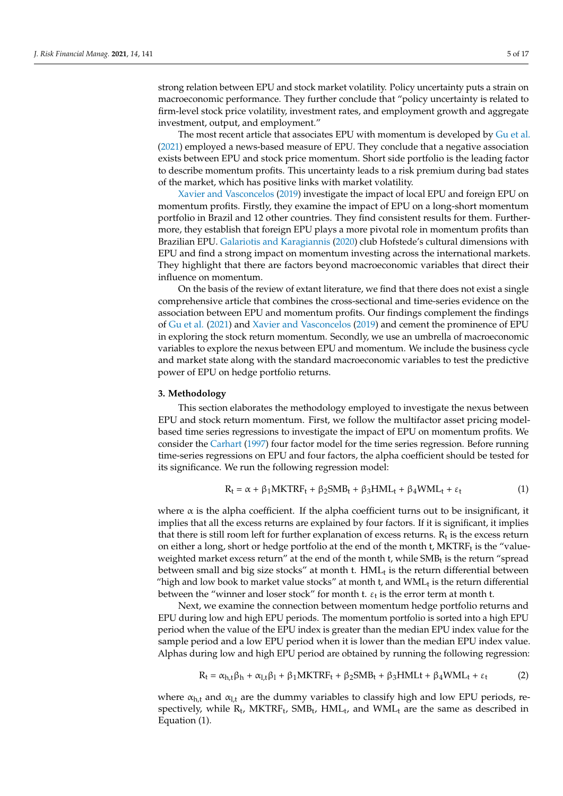strong relation between EPU and stock market volatility. Policy uncertainty puts a strain on macroeconomic performance. They further conclude that "policy uncertainty is related to firm-level stock price volatility, investment rates, and employment growth and aggregate investment, output, and employment."

The most recent article that associates EPU with momentum is developed by Gu et al. (2021) employed a news-based measure of EPU. They conclude that a negative association exists between EPU and stock price momentum. Short side portfolio is the leading factor to describe momentum profits. This uncertainty leads to a risk premium during bad states of the market, which has positive links with market volatility.

Xavier and Vasconcelos (2019) investigate the impact of local EPU and foreign EPU on momentum profits. Firstly, they examine the impact of EPU on a long-short momentum portfolio in Brazil and 12 other countries. They find consistent results for them. Furthermore, they establish that foreign EPU plays a more pivotal role in momentum profits than Brazilian EPU. Galariotis and Karagiannis (2020) club Hofstede's cultural dimensions with EPU and find a strong impact on momentum investing across the international markets. They highlight that there are factors beyond macroeconomic variables that direct their influence on momentum.

On the basis of the review of extant literature, we find that there does not exist a single comprehensive article that combines the cross-sectional and time-series evidence on the association between EPU and momentum profits. Our findings complement the findings of Gu et al. (2021) and Xavier and Vasconcelos (2019) and cement the prominence of EPU in exploring the stock return momentum. Secondly, we use an umbrella of macroeconomic variables to explore the nexus between EPU and momentum. We include the business cycle and market state along with the standard macroeconomic variables to test the predictive power of EPU on hedge portfolio returns.

## **3. Methodology**

This section elaborates the methodology employed to investigate the nexus between EPU and stock return momentum. First, we follow the multifactor asset pricing modelbased time series regressions to investigate the impact of EPU on momentum profits. We consider the Carhart (1997) four factor model for the time series regression. Before running time-series regressions on EPU and four factors, the alpha coefficient should be tested for its significance. We run the following regression model:

$$
R_t = \alpha + \beta_1 MKTRF_t + \beta_2 SMB_t + \beta_3 HML_t + \beta_4 WML_t + \varepsilon_t
$$
 (1)

where  $\alpha$  is the alpha coefficient. If the alpha coefficient turns out to be insignificant, it implies that all the excess returns are explained by four factors. If it is significant, it implies that there is still room left for further explanation of excess returns.  $R_t$  is the excess return on either a long, short or hedge portfolio at the end of the month t,  $MKTRF_t$  is the "valueweighted market excess return" at the end of the month t, while  $SMB_t$  is the return "spread between small and big size stocks" at month t.  $\mathop{\rm HML}\nolimits_{\mathop{\rm t}}$  is the return differential between "high and low book to market value stocks" at month t, and  $\text{WML}_\text{t}$  is the return differential between the "winner and loser stock" for month t.  $\varepsilon_{\rm t}$  is the error term at month t.

Next, we examine the connection between momentum hedge portfolio returns and EPU during low and high EPU periods. The momentum portfolio is sorted into a high EPU period when the value of the EPU index is greater than the median EPU index value for the sample period and a low EPU period when it is lower than the median EPU index value. Alphas during low and high EPU period are obtained by running the following regression:

$$
R_t = \alpha_{h,t} \beta_h + \alpha_{l,t} \beta_l + \beta_1 MKTRF_t + \beta_2 SMB_t + \beta_3 HMLt + \beta_4 WML_t + \varepsilon_t
$$
 (2)

where  $\alpha_{h,t}$  and  $\alpha_{l,t}$  are the dummy variables to classify high and low EPU periods, respectively, while  $R_t$ , MKTRF<sub>t</sub>, SMB<sub>t</sub>, HML<sub>t</sub>, and WML<sub>t</sub> are the same as described in Equation (1).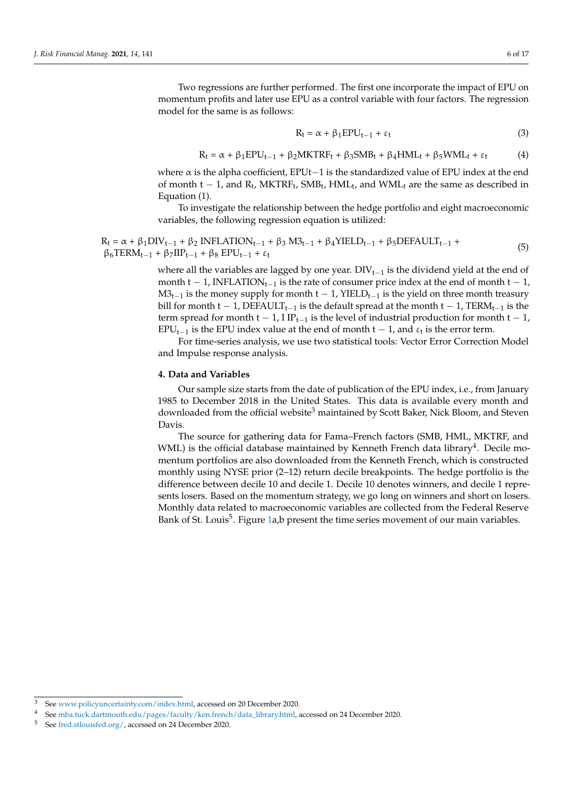Two regressions are further performed. The first one incorporate the impact of EPU on momentum profits and later use EPU as a control variable with four factors. The regression model for the same is as follows:

$$
R_t = \alpha + \beta_1 EPU_{t-1} + \varepsilon_t
$$
\n(3)

$$
R_t = \alpha + \beta_1 EPU_{t-1} + \beta_2 MKTRF_t + \beta_3 SMB_t + \beta_4 HML_t + \beta_5 WML_t + \varepsilon_t
$$
 (4)

where  $\alpha$  is the alpha coefficient, EPUt–1 is the standardized value of EPU index at the end of month  $t - 1$ , and  $R_t$ , MKTRF<sub>t</sub>, SMB<sub>t</sub>, HML<sub>t</sub>, and WML<sub>t</sub> are the same as described in Equation (1).

To investigate the relationship between the hedge portfolio and eight macroeconomic variables, the following regression equation is utilized:

$$
R_t = \alpha + \beta_1 DIV_{t-1} + \beta_2 INFLATION_{t-1} + \beta_3 M3_{t-1} + \beta_4 YIELD_{t-1} + \beta_5 DEFAULT_{t-1} + \beta_6 TERM_{t-1} + \beta_7 IIP_{t-1} + \beta_8 EPU_{t-1} + \epsilon_t
$$
\n
$$
(5)
$$

where all the variables are lagged by one year.  $DIV_{t-1}$  is the dividend yield at the end of month t − 1, INFLATION<sub>t−1</sub> is the rate of consumer price index at the end of month t − 1,  $M3_{t-1}$  is the money supply for month t − 1, YIELD<sub>t−1</sub> is the yield on three month treasury bill for month t − 1, DEFAULT<sub>t−1</sub> is the default spread at the month t − 1, TERM<sub>t−1</sub> is the term spread for month t − 1, I IP<sub>t−1</sub> is the level of industrial production for month t − 1, EPU<sub>t−1</sub> is the EPU index value at the end of month  $t - 1$ , and  $\varepsilon_t$  is the error term.

For time-series analysis, we use two statistical tools: Vector Error Correction Model and Impulse response analysis.

## **4. Data and Variables**

Our sample size starts from the date of publication of the EPU index, i.e., from January 1985 to December 2018 in the United States. This data is available every month and downloaded from the official website<sup>3</sup> maintained by Scott Baker, Nick Bloom, and Steven Davis.

The source for gathering data for Fama–French factors (SMB, HML, MKTRF, and WML) is the official database maintained by Kenneth French data library<sup>4</sup>. Decile momentum portfolios are also downloaded from the Kenneth French, which is constructed monthly using NYSE prior (2–12) return decile breakpoints. The hedge portfolio is the difference between decile 10 and decile 1. Decile 10 denotes winners, and decile 1 represents losers. Based on the momentum strategy, we go long on winners and short on losers. Monthly data related to macroeconomic variables are collected from the Federal Reserve Bank of St. Louis<sup>5</sup>. Figure 1a,b present the time series movement of our main variables.

<sup>3</sup> See www.policyuncertainty.com/index.html, accessed on 20 December 2020.

<sup>4</sup> See mba.tuck.dartmouth.edu/pages/faculty/ken.french/data\_library.html, accessed on 24 December 2020.

<sup>5</sup> See fred.stlouisfed.org/, accessed on 24 December 2020.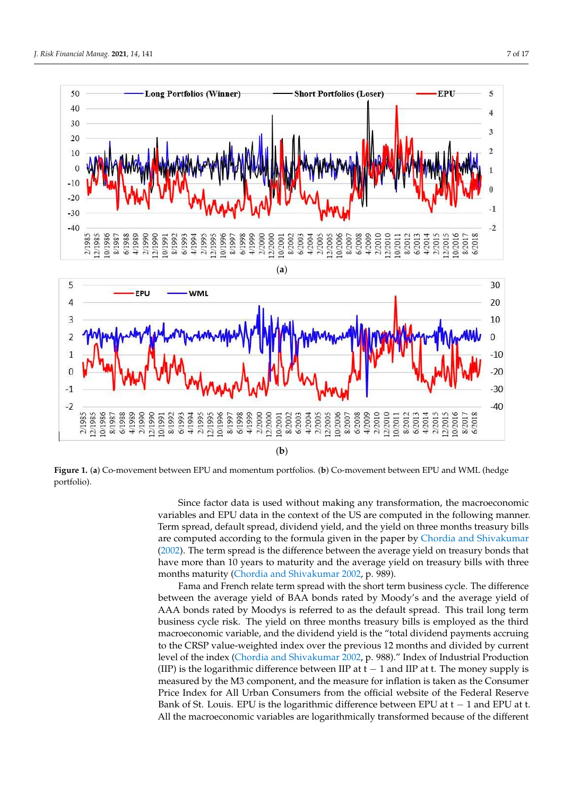

Figure 1. (a) Co-movement between EPU and momentum portfolios. (b) Co-movement between EPU and WML (hedge portfolio).

variables and EPU data in the context of the US are computed in the following manner. Since factor data is used without making any transformation, the macroeconomic Term spread, default spread, dividend yield, and the yield on three months treasury bills are computed according to the formula given in the paper by Chordia and Shivakumar (2002). The term spread is the difference between the average yield on treasury bonds that have more than 10 years to maturity and the average yield on treasury bills with three months maturity (Chordia and Shivakumar 2002, p. 989).

Fama and French relate term spread with the short term business cycle. The difference between the average yield of BAA bonds rated by Moody's and the average yield of AAA bonds rated by Moodys is referred to as the default spread. This trail long term business cycle risk. The yield on three months treasury bills is employed as the third macroeconomic variable, and the dividend yield is the "total dividend payments accruing to the CRSP value-weighted index over the previous 12 months and divided by current level of the index (Chordia and Shivakumar 2002, p. 988)." Index of Industrial Production (IIP) is the logarithmic difference between IIP at  $t - 1$  and IIP at t. The money supply is measured by the M3 component, and the measure for inflation is taken as the Consumer Price Index for All Urban Consumers from the official website of the Federal Reserve Bank of St. Louis. EPU is the logarithmic difference between EPU at  $t - 1$  and EPU at t. All the macroeconomic variables are logarithmically transformed because of the different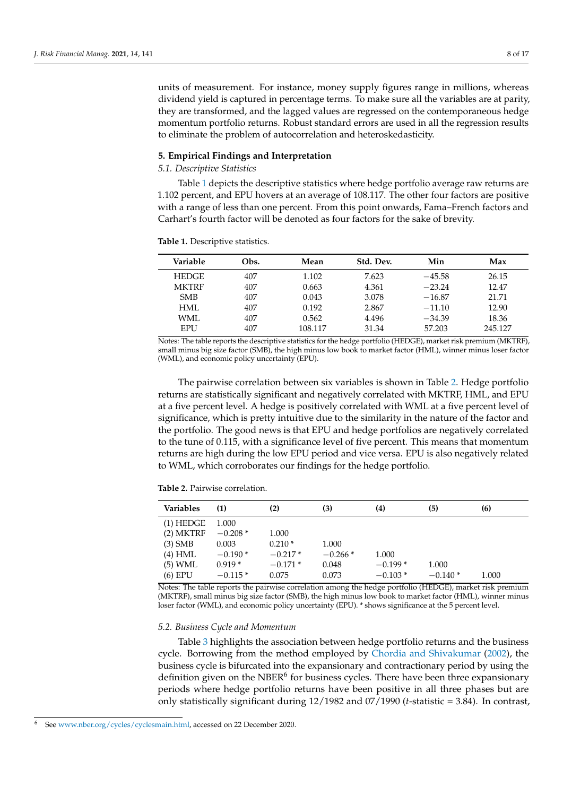units of measurement. For instance, money supply figures range in millions, whereas dividend yield is captured in percentage terms. To make sure all the variables are at parity, they are transformed, and the lagged values are regressed on the contemporaneous hedge momentum portfolio returns. Robust standard errors are used in all the regression results to eliminate the problem of autocorrelation and heteroskedasticity.

#### **5. Empirical Findings and Interpretation**

## *5.1. Descriptive Statistics*

Table 1 depicts the descriptive statistics where hedge portfolio average raw returns are 1.102 percent, and EPU hovers at an average of 108.117. The other four factors are positive with a range of less than one percent. From this point onwards, Fama–French factors and Carhart's fourth factor will be denoted as four factors for the sake of brevity.

| Variable     | Obs. | Mean    | Std. Dev. | Min      | Max     |
|--------------|------|---------|-----------|----------|---------|
| <b>HEDGE</b> | 407  | 1.102   | 7.623     | $-45.58$ | 26.15   |
| <b>MKTRF</b> | 407  | 0.663   | 4.361     | $-23.24$ | 12.47   |
| <b>SMB</b>   | 407  | 0.043   | 3.078     | $-16.87$ | 21.71   |
| HML          | 407  | 0.192   | 2.867     | $-11.10$ | 12.90   |
| WML.         | 407  | 0.562   | 4.496     | $-34.39$ | 18.36   |
| <b>EPU</b>   | 407  | 108.117 | 31.34     | 57.203   | 245.127 |

**Table 1.** Descriptive statistics.

Notes: The table reports the descriptive statistics for the hedge portfolio (HEDGE), market risk premium (MKTRF), small minus big size factor (SMB), the high minus low book to market factor (HML), winner minus loser factor (WML), and economic policy uncertainty (EPU).

The pairwise correlation between six variables is shown in Table 2. Hedge portfolio returns are statistically significant and negatively correlated with MKTRF, HML, and EPU at a five percent level. A hedge is positively correlated with WML at a five percent level of significance, which is pretty intuitive due to the similarity in the nature of the factor and the portfolio. The good news is that EPU and hedge portfolios are negatively correlated to the tune of 0.115, with a significance level of five percent. This means that momentum returns are high during the low EPU period and vice versa. EPU is also negatively related to WML, which corroborates our findings for the hedge portfolio.

|  |  | <b>Table 2.</b> Pairwise correlation. |
|--|--|---------------------------------------|
|--|--|---------------------------------------|

| <b>Variables</b> | (1)       | (2)       | (3)       | (4)       | (5)       | (6)   |
|------------------|-----------|-----------|-----------|-----------|-----------|-------|
| $(1)$ HEDGE      | 1.000     |           |           |           |           |       |
| $(2)$ MKTRF      | $-0.208*$ | 1.000     |           |           |           |       |
| $(3)$ SMB        | 0.003     | $0.210*$  | 1.000     |           |           |       |
| $(4)$ HML        | $-0.190*$ | $-0.217*$ | $-0.266*$ | 1.000     |           |       |
| (5) WML          | $0.919*$  | $-0.171*$ | 0.048     | $-0.199*$ | 1.000     |       |
| $(6)$ EPU        | $-0.115*$ | 0.075     | 0.073     | $-0.103*$ | $-0.140*$ | 1.000 |

Notes: The table reports the pairwise correlation among the hedge portfolio (HEDGE), market risk premium (MKTRF), small minus big size factor (SMB), the high minus low book to market factor (HML), winner minus loser factor (WML), and economic policy uncertainty (EPU). \* shows significance at the 5 percent level.

#### *5.2. Business Cycle and Momentum*

Table 3 highlights the association between hedge portfolio returns and the business cycle. Borrowing from the method employed by Chordia and Shivakumar (2002), the business cycle is bifurcated into the expansionary and contractionary period by using the definition given on the NBER<sup>6</sup> for business cycles. There have been three expansionary periods where hedge portfolio returns have been positive in all three phases but are only statistically significant during 12/1982 and 07/1990 (*t*-statistic = 3.84). In contrast,

<sup>6</sup> See www.nber.org/cycles/cyclesmain.html, accessed on 22 December 2020.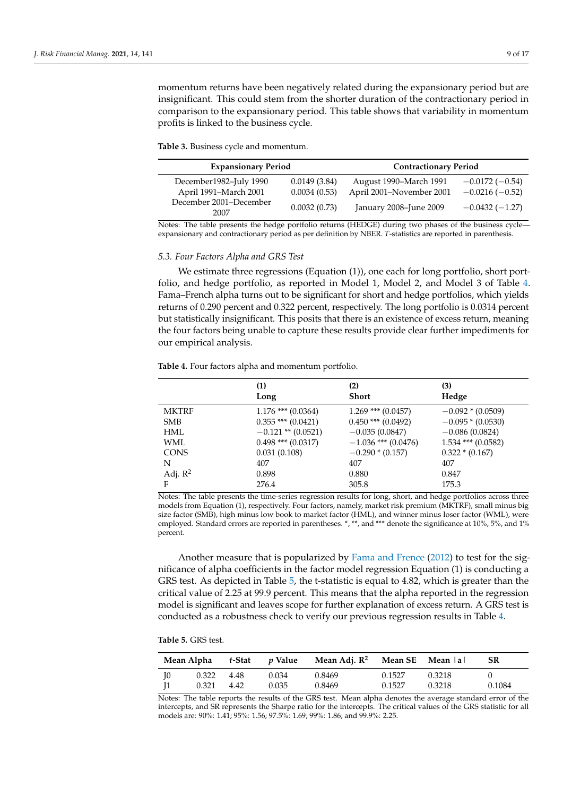momentum returns have been negatively related during the expansionary period but are insignificant. This could stem from the shorter duration of the contractionary period in comparison to the expansionary period. This table shows that variability in momentum profits is linked to the business cycle.

**Table 3.** Business cycle and momentum.

| <b>Expansionary Period</b>     |              | <b>Contractionary Period</b> |                  |  |
|--------------------------------|--------------|------------------------------|------------------|--|
| December1982-July 1990         | 0.0149(3.84) | August 1990–March 1991       | $-0.0172(-0.54)$ |  |
| April 1991–March 2001          | 0.0034(0.53) | April 2001–November 2001     | $-0.0216(-0.52)$ |  |
| December 2001–December<br>2007 | 0.0032(0.73) | January 2008–June 2009       | $-0.0432(-1.27)$ |  |

Notes: The table presents the hedge portfolio returns (HEDGE) during two phases of the business cycle expansionary and contractionary period as per definition by NBER. *T*-statistics are reported in parenthesis.

#### *5.3. Four Factors Alpha and GRS Test*

We estimate three regressions (Equation (1)), one each for long portfolio, short portfolio, and hedge portfolio, as reported in Model 1, Model 2, and Model 3 of Table 4. Fama–French alpha turns out to be significant for short and hedge portfolios, which yields returns of 0.290 percent and 0.322 percent, respectively. The long portfolio is 0.0314 percent but statistically insignificant. This posits that there is an existence of excess return, meaning the four factors being unable to capture these results provide clear further impediments for our empirical analysis.

|              | (1)                    | (2)                    | (3)                  |
|--------------|------------------------|------------------------|----------------------|
|              | Long                   | <b>Short</b>           | Hedge                |
| <b>MKTRF</b> | $1.176$ *** $(0.0364)$ | $1.269$ *** $(0.0457)$ | $-0.092 * (0.0509)$  |
| <b>SMB</b>   | $0.355$ *** $(0.0421)$ | $0.450$ *** $(0.0492)$ | $-0.095*(0.0530)$    |
| HML          | $-0.121$ ** (0.0521)   | $-0.035(0.0847)$       | $-0.086(0.0824)$     |
| WML          | $0.498$ *** $(0.0317)$ | $-1.036$ *** (0.0476)  | $1.534$ *** (0.0582) |
| <b>CONS</b>  | 0.031(0.108)           | $-0.290*(0.157)$       | $0.322 * (0.167)$    |
| N            | 407                    | 407                    | 407                  |
| Adj. $R^2$   | 0.898                  | 0.880                  | 0.847                |
| F            | 276.4                  | 305.8                  | 175.3                |

**Table 4.** Four factors alpha and momentum portfolio.

Notes: The table presents the time-series regression results for long, short, and hedge portfolios across three models from Equation (1), respectively. Four factors, namely, market risk premium (MKTRF), small minus big size factor (SMB), high minus low book to market factor (HML), and winner minus loser factor (WML), were employed. Standard errors are reported in parentheses. \*, \*\*, and \*\*\* denote the significance at 10%, 5%, and 1% percent.

Another measure that is popularized by Fama and Frence (2012) to test for the significance of alpha coefficients in the factor model regression Equation (1) is conducting a GRS test. As depicted in Table 5, the t-statistic is equal to 4.82, which is greater than the critical value of 2.25 at 99.9 percent. This means that the alpha reported in the regression model is significant and leaves scope for further explanation of excess return. A GRS test is conducted as a robustness check to verify our previous regression results in Table 4.

| Table 5. GRS test. |  |
|--------------------|--|
|--------------------|--|

|      |            |       | Mean Alpha $t$ -Stat $p$ Value Mean Adj. $R^2$ Mean SE Mean lal |        |        | - SR   |
|------|------------|-------|-----------------------------------------------------------------|--------|--------|--------|
| - IO | 0.322 4.48 | 0.034 | 0.8469                                                          | 0.1527 | 0.3218 |        |
|      | 0.321 4.42 | 0.035 | 0.8469                                                          | 0.1527 | 0.3218 | 0.1084 |

Notes: The table reports the results of the GRS test. Mean alpha denotes the average standard error of the intercepts, and SR represents the Sharpe ratio for the intercepts. The critical values of the GRS statistic for all models are: 90%: 1.41; 95%: 1.56; 97.5%: 1.69; 99%: 1.86; and 99.9%: 2.25.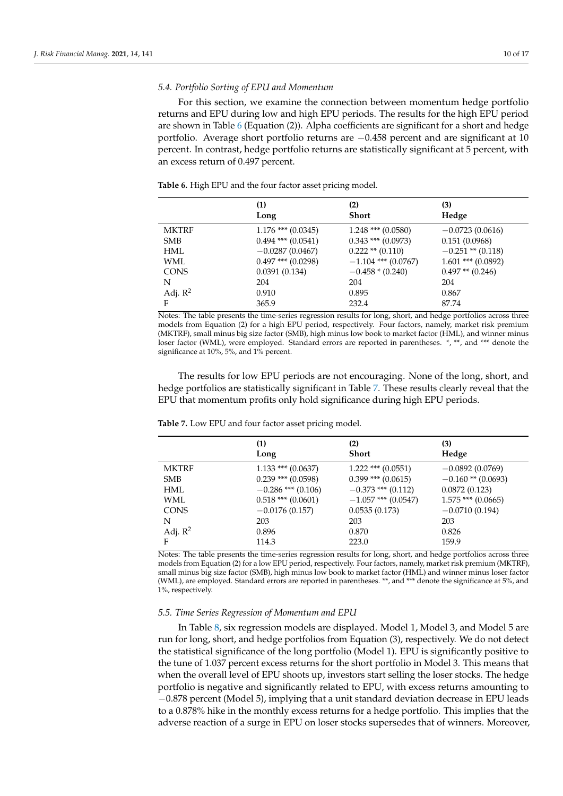## *5.4. Portfolio Sorting of EPU and Momentum*

For this section, we examine the connection between momentum hedge portfolio returns and EPU during low and high EPU periods. The results for the high EPU period are shown in Table 6 (Equation (2)). Alpha coefficients are significant for a short and hedge portfolio. Average short portfolio returns are −0.458 percent and are significant at 10 percent. In contrast, hedge portfolio returns are statistically significant at 5 percent, with an excess return of 0.497 percent.

|              | (1)<br>Long            | (2)<br><b>Short</b>    | (3)<br>Hedge         |
|--------------|------------------------|------------------------|----------------------|
|              |                        |                        |                      |
| <b>MKTRF</b> | $1.176$ *** $(0.0345)$ | $1.248$ *** $(0.0580)$ | $-0.0723(0.0616)$    |
| <b>SMB</b>   | $0.494$ *** $(0.0541)$ | $0.343$ *** $(0.0973)$ | 0.151(0.0968)        |
| HML.         | $-0.0287(0.0467)$      | $0.222$ ** $(0.110)$   | $-0.251$ ** (0.118)  |
| WML          | $0.497$ *** $(0.0298)$ | $-1.104$ *** (0.0767)  | $1.601$ *** (0.0892) |
| <b>CONS</b>  | 0.0391(0.134)          | $-0.458*(0.240)$       | $0.497**$ (0.246)    |
| N            | 204                    | 204                    | 204                  |
| Adj. $R^2$   | 0.910                  | 0.895                  | 0.867                |
| F            | 365.9                  | 232.4                  | 87.74                |

**Table 6.** High EPU and the four factor asset pricing model.

Notes: The table presents the time-series regression results for long, short, and hedge portfolios across three models from Equation (2) for a high EPU period, respectively. Four factors, namely, market risk premium (MKTRF), small minus big size factor (SMB), high minus low book to market factor (HML), and winner minus loser factor (WML), were employed. Standard errors are reported in parentheses. \*, \*\*, and \*\*\* denote the significance at 10%, 5%, and 1% percent.

The results for low EPU periods are not encouraging. None of the long, short, and hedge portfolios are statistically significant in Table 7. These results clearly reveal that the EPU that momentum profits only hold significance during high EPU periods.

|                     | (1)<br>Long            | (2)<br>Short           | (3)<br>Hedge         |
|---------------------|------------------------|------------------------|----------------------|
| <b>MKTRF</b>        | $1.133$ *** $(0.0637)$ | $1.222$ *** $(0.0551)$ | $-0.0892(0.0769)$    |
| <b>SMB</b>          | $0.239$ *** $(0.0598)$ | $0.399$ *** (0.0615)   | $-0.160**$ (0.0693)  |
| HML                 | $-0.286$ *** (0.106)   | $-0.373$ *** (0.112)   | 0.0872(0.123)        |
| WML                 | $0.518$ *** $(0.0601)$ | $-1.057$ *** (0.0547)  | $1.575$ *** (0.0665) |
| <b>CONS</b>         | $-0.0176(0.157)$       | 0.0535(0.173)          | $-0.0710(0.194)$     |
| N                   | 203                    | 203                    | 203                  |
| Adj. $\mathbb{R}^2$ | 0.896                  | 0.870                  | 0.826                |
| F                   | 114.3                  | 223.0                  | 159.9                |

**Table 7.** Low EPU and four factor asset pricing model.

Notes: The table presents the time-series regression results for long, short, and hedge portfolios across three models from Equation (2) for a low EPU period, respectively. Four factors, namely, market risk premium (MKTRF), small minus big size factor (SMB), high minus low book to market factor (HML) and winner minus loser factor (WML), are employed. Standard errors are reported in parentheses. \*\*, and \*\*\* denote the significance at 5%, and 1%, respectively.

#### *5.5. Time Series Regression of Momentum and EPU*

In Table 8, six regression models are displayed. Model 1, Model 3, and Model 5 are run for long, short, and hedge portfolios from Equation (3), respectively. We do not detect the statistical significance of the long portfolio (Model 1). EPU is significantly positive to the tune of 1.037 percent excess returns for the short portfolio in Model 3. This means that when the overall level of EPU shoots up, investors start selling the loser stocks. The hedge portfolio is negative and significantly related to EPU, with excess returns amounting to −0.878 percent (Model 5), implying that a unit standard deviation decrease in EPU leads to a 0.878% hike in the monthly excess returns for a hedge portfolio. This implies that the adverse reaction of a surge in EPU on loser stocks supersedes that of winners. Moreover,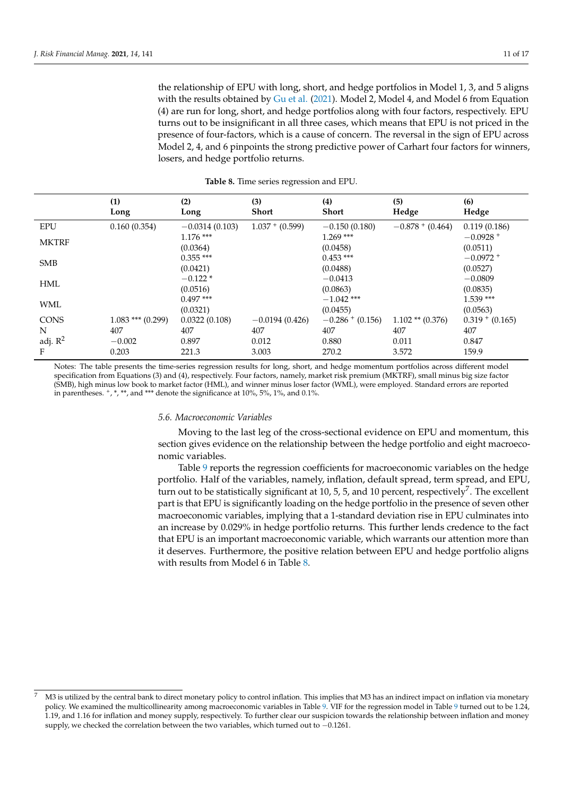the relationship of EPU with long, short, and hedge portfolios in Model 1, 3, and 5 aligns with the results obtained by Gu et al. (2021). Model 2, Model 4, and Model 6 from Equation (4) are run for long, short, and hedge portfolios along with four factors, respectively. EPU turns out to be insignificant in all three cases, which means that EPU is not priced in the presence of four-factors, which is a cause of concern. The reversal in the sign of EPU across Model 2, 4, and 6 pinpoints the strong predictive power of Carhart four factors for winners, losers, and hedge portfolio returns.

|              | (1)<br>Long           | (2)<br>Long             | (3)<br><b>Short</b> | (4)<br><b>Short</b>      | (5)<br>Hedge         | (6)<br>Hedge            |
|--------------|-----------------------|-------------------------|---------------------|--------------------------|----------------------|-------------------------|
| <b>EPU</b>   | 0.160(0.354)          | $-0.0314(0.103)$        | $1.037 + (0.599)$   | $-0.150(0.180)$          | $-0.878+(0.464)$     | 0.119(0.186)            |
| <b>MKTRF</b> |                       | $1.176$ ***<br>(0.0364) |                     | $1.269$ ***<br>(0.0458)  |                      | $-0.0928 +$<br>(0.0511) |
| <b>SMB</b>   |                       | $0.355$ ***<br>(0.0421) |                     | $0.453$ ***<br>(0.0488)  |                      | $-0.0972 +$<br>(0.0527) |
| <b>HML</b>   |                       | $-0.122*$<br>(0.0516)   |                     | $-0.0413$<br>(0.0863)    |                      | $-0.0809$<br>(0.0835)   |
| WML          |                       | $0.497***$<br>(0.0321)  |                     | $-1.042$ ***<br>(0.0455) |                      | $1.539***$<br>(0.0563)  |
| <b>CONS</b>  | $1.083$ *** $(0.299)$ | 0.0322(0.108)           | $-0.0194(0.426)$    | $-0.286+(0.156)$         | $1.102$ ** $(0.376)$ | $0.319 + (0.165)$       |
| N            | 407                   | 407                     | 407                 | 407                      | 407                  | 407                     |
| adj. $R^2$   | $-0.002$              | 0.897                   | 0.012               | 0.880                    | 0.011                | 0.847                   |
| F            | 0.203                 | 221.3                   | 3.003               | 270.2                    | 3.572                | 159.9                   |

**Table 8.** Time series regression and EPU.

Notes: The table presents the time-series regression results for long, short, and hedge momentum portfolios across different model specification from Equations (3) and (4), respectively. Four factors, namely, market risk premium (MKTRF), small minus big size factor (SMB), high minus low book to market factor (HML), and winner minus loser factor (WML), were employed. Standard errors are reported in parentheses. <sup>+</sup> , \*, \*\*, and \*\*\* denote the significance at 10%, 5%, 1%, and 0.1%.

#### *5.6. Macroeconomic Variables*

Moving to the last leg of the cross-sectional evidence on EPU and momentum, this section gives evidence on the relationship between the hedge portfolio and eight macroeconomic variables.

Table 9 reports the regression coefficients for macroeconomic variables on the hedge portfolio. Half of the variables, namely, inflation, default spread, term spread, and EPU, turn out to be statistically significant at 10, 5, 5, and 10 percent, respectively<sup>7</sup>. The excellent part is that EPU is significantly loading on the hedge portfolio in the presence of seven other macroeconomic variables, implying that a 1-standard deviation rise in EPU culminates into an increase by 0.029% in hedge portfolio returns. This further lends credence to the fact that EPU is an important macroeconomic variable, which warrants our attention more than it deserves. Furthermore, the positive relation between EPU and hedge portfolio aligns with results from Model 6 in Table 8.

<sup>7</sup> M3 is utilized by the central bank to direct monetary policy to control inflation. This implies that M3 has an indirect impact on inflation via monetary policy. We examined the multicollinearity among macroeconomic variables in Table 9. VIF for the regression model in Table 9 turned out to be 1.24, 1.19, and 1.16 for inflation and money supply, respectively. To further clear our suspicion towards the relationship between inflation and money supply, we checked the correlation between the two variables, which turned out to −0.1261.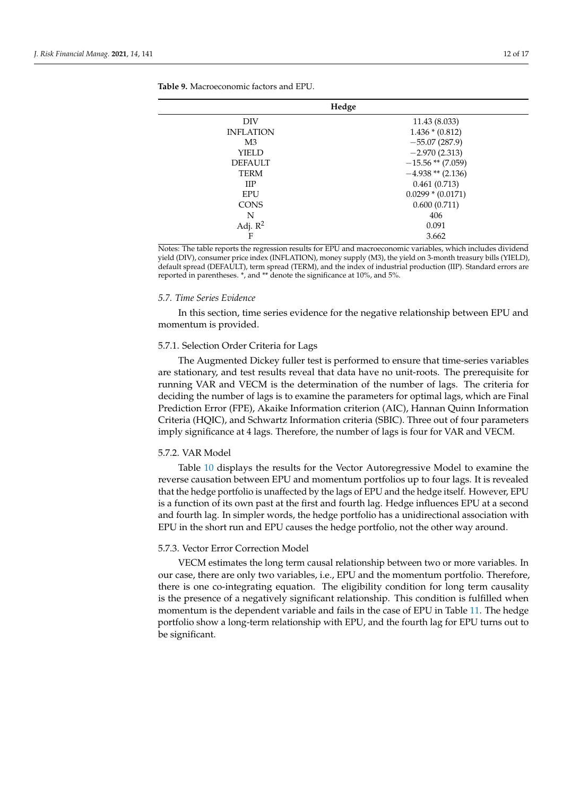| Hedge            |                     |  |  |  |  |
|------------------|---------------------|--|--|--|--|
| DIV              | 11.43 (8.033)       |  |  |  |  |
| <b>INFLATION</b> | $1.436 * (0.812)$   |  |  |  |  |
| M3               | $-55.07(287.9)$     |  |  |  |  |
| YIELD            | $-2.970(2.313)$     |  |  |  |  |
| <b>DEFAULT</b>   | $-15.56$ ** (7.059) |  |  |  |  |
| <b>TERM</b>      | $-4.938**$ (2.136)  |  |  |  |  |
| <b>IIP</b>       | 0.461(0.713)        |  |  |  |  |
| <b>EPU</b>       | $0.0299 * (0.0171)$ |  |  |  |  |
| <b>CONS</b>      | 0.600(0.711)        |  |  |  |  |
| N                | 406                 |  |  |  |  |
| Adj. $R^2$       | 0.091               |  |  |  |  |
| F                | 3.662               |  |  |  |  |

**Table 9.** Macroeconomic factors and EPU.

Notes: The table reports the regression results for EPU and macroeconomic variables, which includes dividend yield (DIV), consumer price index (INFLATION), money supply (M3), the yield on 3-month treasury bills (YIELD), default spread (DEFAULT), term spread (TERM), and the index of industrial production (IIP). Standard errors are reported in parentheses. \*, and \*\* denote the significance at 10%, and 5%.

#### *5.7. Time Series Evidence*

In this section, time series evidence for the negative relationship between EPU and momentum is provided.

## 5.7.1. Selection Order Criteria for Lags

The Augmented Dickey fuller test is performed to ensure that time-series variables are stationary, and test results reveal that data have no unit-roots. The prerequisite for running VAR and VECM is the determination of the number of lags. The criteria for deciding the number of lags is to examine the parameters for optimal lags, which are Final Prediction Error (FPE), Akaike Information criterion (AIC), Hannan Quinn Information Criteria (HQIC), and Schwartz Information criteria (SBIC). Three out of four parameters imply significance at 4 lags. Therefore, the number of lags is four for VAR and VECM.

## 5.7.2. VAR Model

Table 10 displays the results for the Vector Autoregressive Model to examine the reverse causation between EPU and momentum portfolios up to four lags. It is revealed that the hedge portfolio is unaffected by the lags of EPU and the hedge itself. However, EPU is a function of its own past at the first and fourth lag. Hedge influences EPU at a second and fourth lag. In simpler words, the hedge portfolio has a unidirectional association with EPU in the short run and EPU causes the hedge portfolio, not the other way around.

#### 5.7.3. Vector Error Correction Model

VECM estimates the long term causal relationship between two or more variables. In our case, there are only two variables, i.e., EPU and the momentum portfolio. Therefore, there is one co-integrating equation. The eligibility condition for long term causality is the presence of a negatively significant relationship. This condition is fulfilled when momentum is the dependent variable and fails in the case of EPU in Table 11. The hedge portfolio show a long-term relationship with EPU, and the fourth lag for EPU turns out to be significant.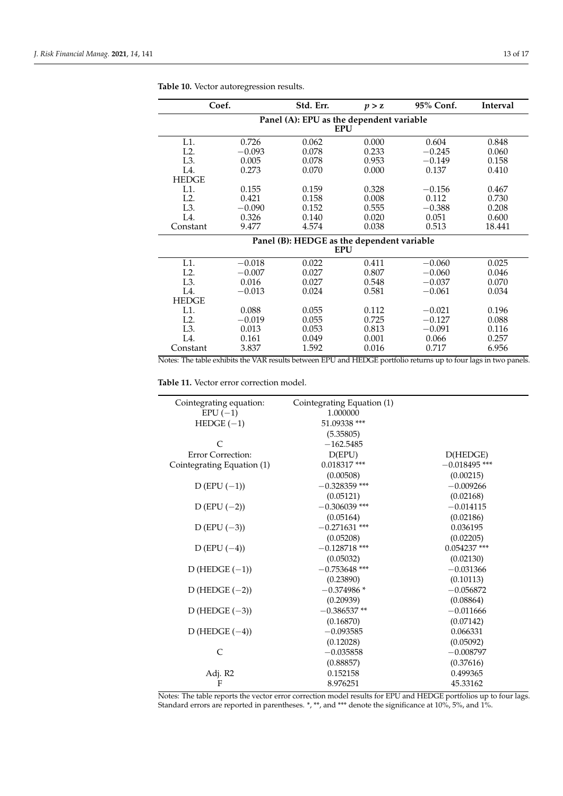| Coef.            |            | Std. Err.                                  | p > z | 95% Conf. | Interval |  |  |  |  |
|------------------|------------|--------------------------------------------|-------|-----------|----------|--|--|--|--|
|                  |            | Panel (A): EPU as the dependent variable   |       |           |          |  |  |  |  |
|                  | <b>EPU</b> |                                            |       |           |          |  |  |  |  |
| L1.              | 0.726      | 0.062                                      | 0.000 | 0.604     | 0.848    |  |  |  |  |
| L2.              | $-0.093$   | 0.078                                      | 0.233 | $-0.245$  | 0.060    |  |  |  |  |
| L <sub>3</sub> . | 0.005      | 0.078                                      | 0.953 | $-0.149$  | 0.158    |  |  |  |  |
| L4.              | 0.273      | 0.070                                      | 0.000 | 0.137     | 0.410    |  |  |  |  |
| <b>HEDGE</b>     |            |                                            |       |           |          |  |  |  |  |
| L1.              | 0.155      | 0.159                                      | 0.328 | $-0.156$  | 0.467    |  |  |  |  |
| L2.              | 0.421      | 0.158                                      | 0.008 | 0.112     | 0.730    |  |  |  |  |
| L <sub>3</sub> . | $-0.090$   | 0.152                                      | 0.555 | $-0.388$  | 0.208    |  |  |  |  |
| L4.              | 0.326      | 0.140                                      | 0.020 | 0.051     | 0.600    |  |  |  |  |
| Constant         | 9.477      | 4.574                                      | 0.038 | 0.513     | 18.441   |  |  |  |  |
|                  |            | Panel (B): HEDGE as the dependent variable |       |           |          |  |  |  |  |
|                  |            | <b>EPU</b>                                 |       |           |          |  |  |  |  |
| L1.              | $-0.018$   | 0.022                                      | 0.411 | $-0.060$  | 0.025    |  |  |  |  |
| L2.              | $-0.007$   | 0.027                                      | 0.807 | $-0.060$  | 0.046    |  |  |  |  |
| L <sub>3</sub> . | 0.016      | 0.027                                      | 0.548 | $-0.037$  | 0.070    |  |  |  |  |
| L4.              | $-0.013$   | 0.024                                      | 0.581 | $-0.061$  | 0.034    |  |  |  |  |
| <b>HEDGE</b>     |            |                                            |       |           |          |  |  |  |  |
| L1.              | 0.088      | 0.055                                      | 0.112 | $-0.021$  | 0.196    |  |  |  |  |
| L2.              | $-0.019$   | 0.055                                      | 0.725 | $-0.127$  | 0.088    |  |  |  |  |
| L <sub>3</sub> . | 0.013      | 0.053                                      | 0.813 | $-0.091$  | 0.116    |  |  |  |  |
| L4.              | 0.161      | 0.049                                      | 0.001 | 0.066     | 0.257    |  |  |  |  |
| Constant         | 3.837      | 1.592                                      | 0.016 | 0.717     | 6.956    |  |  |  |  |

**Table 10.** Vector autoregression results.

Notes: The table exhibits the VAR results between EPU and HEDGE portfolio returns up to four lags in two panels.

**Table 11.** Vector error correction model.

| Cointegrating equation:    | Cointegrating Equation (1) |                 |  |  |
|----------------------------|----------------------------|-----------------|--|--|
| $EPU(-1)$                  | 1.000000                   |                 |  |  |
| $HEDGE (-1)$               | 51.09338 ***               |                 |  |  |
|                            | (5.35805)                  |                 |  |  |
| $\subset$                  | $-162.5485$                |                 |  |  |
| Error Correction:          | D(EPU)                     | D(HEDGE)        |  |  |
| Cointegrating Equation (1) | $0.018317$ ***             | $-0.018495$ *** |  |  |
|                            | (0.00508)                  | (0.00215)       |  |  |
| $D(EPU(-1))$               | $-0.328359$ ***            | $-0.009266$     |  |  |
|                            | (0.05121)                  | (0.02168)       |  |  |
| $D (EPU (-2))$             | $-0.306039$ ***            | $-0.014115$     |  |  |
|                            | (0.05164)                  | (0.02186)       |  |  |
| D (EPU $(-3)$ )            | $-0.271631$ ***            | 0.036195        |  |  |
|                            | (0.05208)                  | (0.02205)       |  |  |
| $D(EPU(-4))$               | $-0.128718$ ***            | $0.054237$ ***  |  |  |
|                            | (0.05032)                  | (0.02130)       |  |  |
| $D$ (HEDGE $(-1)$ )        | $-0.753648$ ***            | $-0.031366$     |  |  |
|                            | (0.23890)                  | (0.10113)       |  |  |
| D (HEDGE $(-2)$ )          | $-0.374986*$               | $-0.056872$     |  |  |
|                            | (0.20939)                  | (0.08864)       |  |  |
| D (HEDGE $(-3)$ )          | $-0.386537**$              | $-0.011666$     |  |  |
|                            | (0.16870)                  | (0.07142)       |  |  |
| D (HEDGE $(-4)$ )          | $-0.093585$                | 0.066331        |  |  |
|                            | (0.12028)                  | (0.05092)       |  |  |
| C                          | $-0.035858$                | $-0.008797$     |  |  |
|                            | (0.88857)                  | (0.37616)       |  |  |
| Adj. R2                    | 0.152158                   | 0.499365        |  |  |
| F                          | 8.976251                   | 45.33162        |  |  |
|                            |                            |                 |  |  |

Notes: The table reports the vector error correction model results for EPU and HEDGE portfolios up to four lags. Standard errors are reported in parentheses. \*, \*\*, and \*\*\* denote the significance at 10%, 5%, and 1%.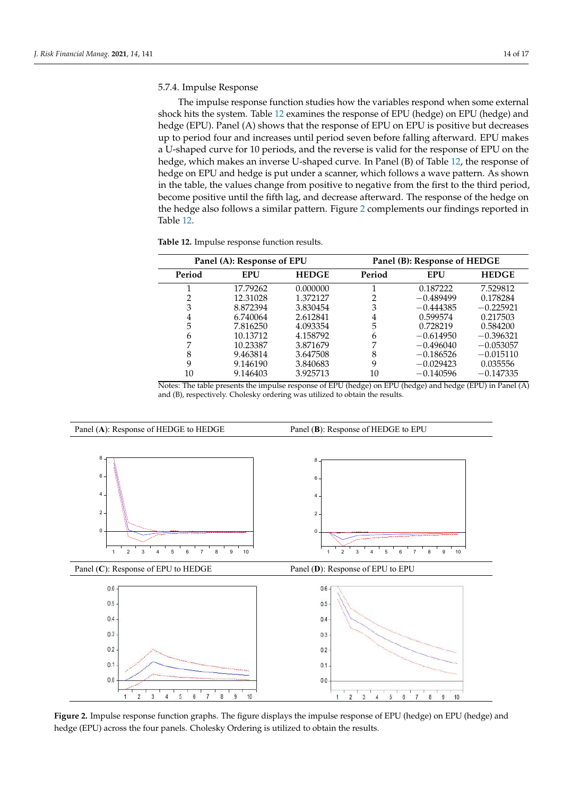## 5.7.4. Impulse Response

The impulse response function studies how the variables respond when some external shock hits the system. Table 12 examines the response of EPU (hedge) on EPU (hedge) and hedge (EPU). Panel (A) shows that the response of EPU on EPU is positive but decreases up to period four and increases until period seven before falling afterward. EPU makes a U-shaped curve for 10 periods, and the reverse is valid for the response of EPU on the hedge, which makes an inverse U-shaped curve. In Panel (B) of Table 12, the response of hedge on EPU and hedge is put under a scanner, which follows a wave pattern. As shown in the table, the values change from positive to negative from the first to the third period, ‐ become positive until the fifth lag, and decrease afterward. The response of the hedge on the hedge also follows a similar pattern. Figure 2 complements our findings reported in ‐ Table 12.

|  |  | Table 12. Impulse response function results. |  |  |
|--|--|----------------------------------------------|--|--|
|--|--|----------------------------------------------|--|--|

| Panel (A): Response of EPU |            |              | Panel (B): Response of HEDGE |             |              |
|----------------------------|------------|--------------|------------------------------|-------------|--------------|
| Period                     | <b>EPU</b> | <b>HEDGE</b> | Period                       | <b>EPU</b>  | <b>HEDGE</b> |
|                            | 17.79262   | 0.000000     |                              | 0.187222    | 7.529812     |
| ר                          | 12.31028   | 1.372127     |                              | $-0.489499$ | 0.178284     |
| 3                          | 8.872394   | 3.830454     | 3                            | $-0.444385$ | $-0.225921$  |
| 4                          | 6.740064   | 2.612841     | 4                            | 0.599574    | 0.217503     |
| 5                          | 7.816250   | 4.093354     | 5                            | 0.728219    | 0.584200     |
| 6                          | 10.13712   | 4.158792     | 6                            | $-0.614950$ | $-0.396321$  |
| 7                          | 10.23387   | 3.871679     |                              | $-0.496040$ | $-0.053057$  |
| 8                          | 9.463814   | 3.647508     | 8                            | $-0.186526$ | $-0.015110$  |
| 9                          | 9.146190   | 3.840683     | 9                            | $-0.029423$ | 0.035556     |
| 10                         | 9.146403   | 3.925713     | 10                           | $-0.140596$ | $-0.147335$  |

Notes: The table presents the impulse response of EPU (hedge) on EPU (hedge) and hedge (EPU) in Panel (A) and (B), respectively. Cholesky ordering was utilized to obtain the results.



**Figure 2.** Impulse response function graphs. The figure displays the impulse response of EPU (hedge) on EPU (hedge) and hedge (EPU) across the four panels. Cholesky Ordering is utilized to obtain the results.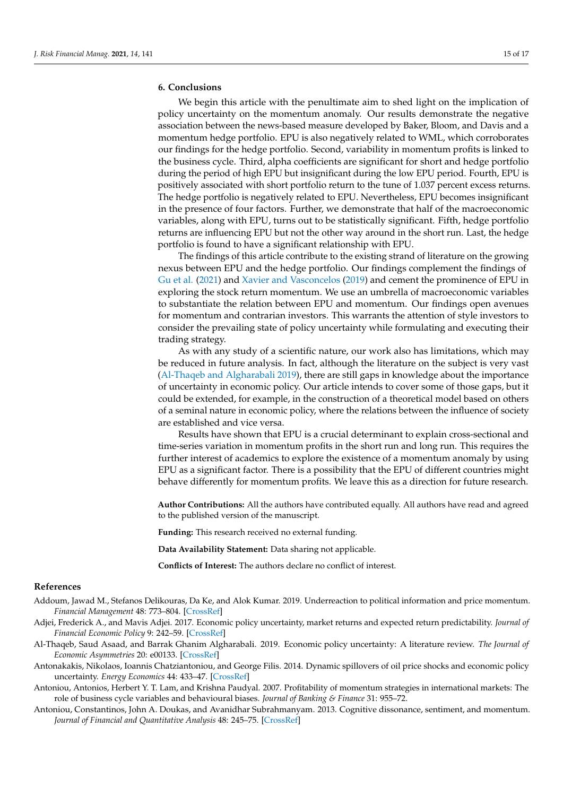## **6. Conclusions**

We begin this article with the penultimate aim to shed light on the implication of policy uncertainty on the momentum anomaly. Our results demonstrate the negative association between the news-based measure developed by Baker, Bloom, and Davis and a momentum hedge portfolio. EPU is also negatively related to WML, which corroborates our findings for the hedge portfolio. Second, variability in momentum profits is linked to the business cycle. Third, alpha coefficients are significant for short and hedge portfolio during the period of high EPU but insignificant during the low EPU period. Fourth, EPU is positively associated with short portfolio return to the tune of 1.037 percent excess returns. The hedge portfolio is negatively related to EPU. Nevertheless, EPU becomes insignificant in the presence of four factors. Further, we demonstrate that half of the macroeconomic variables, along with EPU, turns out to be statistically significant. Fifth, hedge portfolio returns are influencing EPU but not the other way around in the short run. Last, the hedge portfolio is found to have a significant relationship with EPU.

The findings of this article contribute to the existing strand of literature on the growing nexus between EPU and the hedge portfolio. Our findings complement the findings of Gu et al. (2021) and Xavier and Vasconcelos (2019) and cement the prominence of EPU in exploring the stock return momentum. We use an umbrella of macroeconomic variables to substantiate the relation between EPU and momentum. Our findings open avenues for momentum and contrarian investors. This warrants the attention of style investors to consider the prevailing state of policy uncertainty while formulating and executing their trading strategy.

As with any study of a scientific nature, our work also has limitations, which may be reduced in future analysis. In fact, although the literature on the subject is very vast (Al-Thaqeb and Algharabali 2019), there are still gaps in knowledge about the importance of uncertainty in economic policy. Our article intends to cover some of those gaps, but it could be extended, for example, in the construction of a theoretical model based on others of a seminal nature in economic policy, where the relations between the influence of society are established and vice versa.

Results have shown that EPU is a crucial determinant to explain cross-sectional and time-series variation in momentum profits in the short run and long run. This requires the further interest of academics to explore the existence of a momentum anomaly by using EPU as a significant factor. There is a possibility that the EPU of different countries might behave differently for momentum profits. We leave this as a direction for future research.

**Author Contributions:** All the authors have contributed equally. All authors have read and agreed to the published version of the manuscript.

**Funding:** This research received no external funding.

**Data Availability Statement:** Data sharing not applicable.

**Conflicts of Interest:** The authors declare no conflict of interest.

## **References**

- Addoum, Jawad M., Stefanos Delikouras, Da Ke, and Alok Kumar. 2019. Underreaction to political information and price momentum. *Financial Management* 48: 773–804. [CrossRef]
- Adjei, Frederick A., and Mavis Adjei. 2017. Economic policy uncertainty, market returns and expected return predictability. *Journal of Financial Economic Policy* 9: 242–59. [CrossRef]
- Al-Thaqeb, Saud Asaad, and Barrak Ghanim Algharabali. 2019. Economic policy uncertainty: A literature review. *The Journal of Economic Asymmetries* 20: e00133. [CrossRef]
- Antonakakis, Nikolaos, Ioannis Chatziantoniou, and George Filis. 2014. Dynamic spillovers of oil price shocks and economic policy uncertainty. *Energy Economics* 44: 433–47. [CrossRef]
- Antoniou, Antonios, Herbert Y. T. Lam, and Krishna Paudyal. 2007. Profitability of momentum strategies in international markets: The role of business cycle variables and behavioural biases. *Journal of Banking & Finance* 31: 955–72.
- Antoniou, Constantinos, John A. Doukas, and Avanidhar Subrahmanyam. 2013. Cognitive dissonance, sentiment, and momentum. *Journal of Financial and Quantitative Analysis* 48: 245–75. [CrossRef]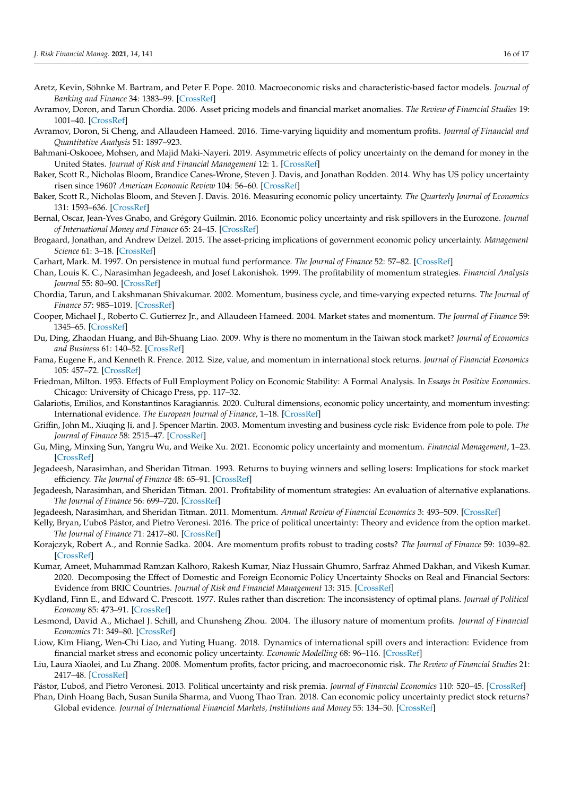- Aretz, Kevin, Söhnke M. Bartram, and Peter F. Pope. 2010. Macroeconomic risks and characteristic-based factor models. *Journal of Banking and Finance* 34: 1383–99. [CrossRef]
- Avramov, Doron, and Tarun Chordia. 2006. Asset pricing models and financial market anomalies. *The Review of Financial Studies* 19: 1001–40. [CrossRef]
- Avramov, Doron, Si Cheng, and Allaudeen Hameed. 2016. Time-varying liquidity and momentum profits. *Journal of Financial and Quantitative Analysis* 51: 1897–923.
- Bahmani-Oskooee, Mohsen, and Majid Maki-Nayeri. 2019. Asymmetric effects of policy uncertainty on the demand for money in the United States. *Journal of Risk and Financial Management* 12: 1. [CrossRef]
- Baker, Scott R., Nicholas Bloom, Brandice Canes-Wrone, Steven J. Davis, and Jonathan Rodden. 2014. Why has US policy uncertainty risen since 1960? *American Economic Review* 104: 56–60. [CrossRef]
- Baker, Scott R., Nicholas Bloom, and Steven J. Davis. 2016. Measuring economic policy uncertainty. *The Quarterly Journal of Economics* 131: 1593–636. [CrossRef]
- Bernal, Oscar, Jean-Yves Gnabo, and Grégory Guilmin. 2016. Economic policy uncertainty and risk spillovers in the Eurozone. *Journal of International Money and Finance* 65: 24–45. [CrossRef]
- Brogaard, Jonathan, and Andrew Detzel. 2015. The asset-pricing implications of government economic policy uncertainty. *Management Science* 61: 3–18. [CrossRef]
- Carhart, Mark. M. 1997. On persistence in mutual fund performance. *The Journal of Finance* 52: 57–82. [CrossRef]
- Chan, Louis K. C., Narasimhan Jegadeesh, and Josef Lakonishok. 1999. The profitability of momentum strategies. *Financial Analysts Journal* 55: 80–90. [CrossRef]
- Chordia, Tarun, and Lakshmanan Shivakumar. 2002. Momentum, business cycle, and time-varying expected returns. *The Journal of Finance* 57: 985–1019. [CrossRef]
- Cooper, Michael J., Roberto C. Gutierrez Jr., and Allaudeen Hameed. 2004. Market states and momentum. *The Journal of Finance* 59: 1345–65. [CrossRef]
- Du, Ding, Zhaodan Huang, and Bih-Shuang Liao. 2009. Why is there no momentum in the Taiwan stock market? *Journal of Economics and Business* 61: 140–52. [CrossRef]
- Fama, Eugene F., and Kenneth R. Frence. 2012. Size, value, and momentum in international stock returns. *Journal of Financial Economics* 105: 457–72. [CrossRef]
- Friedman, Milton. 1953. Effects of Full Employment Policy on Economic Stability: A Formal Analysis. In *Essays in Positive Economics*. Chicago: University of Chicago Press, pp. 117–32.
- Galariotis, Emilios, and Konstantinos Karagiannis. 2020. Cultural dimensions, economic policy uncertainty, and momentum investing: International evidence. *The European Journal of Finance*, 1–18. [CrossRef]
- Griffin, John M., Xiuqing Ji, and J. Spencer Martin. 2003. Momentum investing and business cycle risk: Evidence from pole to pole. *The Journal of Finance* 58: 2515–47. [CrossRef]
- Gu, Ming, Minxing Sun, Yangru Wu, and Weike Xu. 2021. Economic policy uncertainty and momentum. *Financial Management*, 1–23. [CrossRef]
- Jegadeesh, Narasimhan, and Sheridan Titman. 1993. Returns to buying winners and selling losers: Implications for stock market efficiency. *The Journal of Finance* 48: 65–91. [CrossRef]
- Jegadeesh, Narasimhan, and Sheridan Titman. 2001. Profitability of momentum strategies: An evaluation of alternative explanations. *The Journal of Finance* 56: 699–720. [CrossRef]
- Jegadeesh, Narasimhan, and Sheridan Titman. 2011. Momentum. *Annual Review of Financial Economics* 3: 493–509. [CrossRef]
- Kelly, Bryan, L'uboš Pástor, and Pietro Veronesi. 2016. The price of political uncertainty: Theory and evidence from the option market. *The Journal of Finance* 71: 2417–80. [CrossRef]
- Korajczyk, Robert A., and Ronnie Sadka. 2004. Are momentum profits robust to trading costs? *The Journal of Finance* 59: 1039–82. [CrossRef]
- Kumar, Ameet, Muhammad Ramzan Kalhoro, Rakesh Kumar, Niaz Hussain Ghumro, Sarfraz Ahmed Dakhan, and Vikesh Kumar. 2020. Decomposing the Effect of Domestic and Foreign Economic Policy Uncertainty Shocks on Real and Financial Sectors: Evidence from BRIC Countries. *Journal of Risk and Financial Management* 13: 315. [CrossRef]
- Kydland, Finn E., and Edward C. Prescott. 1977. Rules rather than discretion: The inconsistency of optimal plans. *Journal of Political Economy* 85: 473–91. [CrossRef]
- Lesmond, David A., Michael J. Schill, and Chunsheng Zhou. 2004. The illusory nature of momentum profits. *Journal of Financial Economics* 71: 349–80. [CrossRef]
- Liow, Kim Hiang, Wen-Chi Liao, and Yuting Huang. 2018. Dynamics of international spill overs and interaction: Evidence from financial market stress and economic policy uncertainty. *Economic Modelling* 68: 96–116. [CrossRef]
- Liu, Laura Xiaolei, and Lu Zhang. 2008. Momentum profits, factor pricing, and macroeconomic risk. *The Review of Financial Studies* 21: 2417–48. [CrossRef]
- Pástor, L'uboš, and Pietro Veronesi. 2013. Political uncertainty and risk premia. *Journal of Financial Economics* 110: 520–45. [CrossRef]
- Phan, Dinh Hoang Bach, Susan Sunila Sharma, and Vuong Thao Tran. 2018. Can economic policy uncertainty predict stock returns? Global evidence. *Journal of International Financial Markets, Institutions and Money* 55: 134–50. [CrossRef]